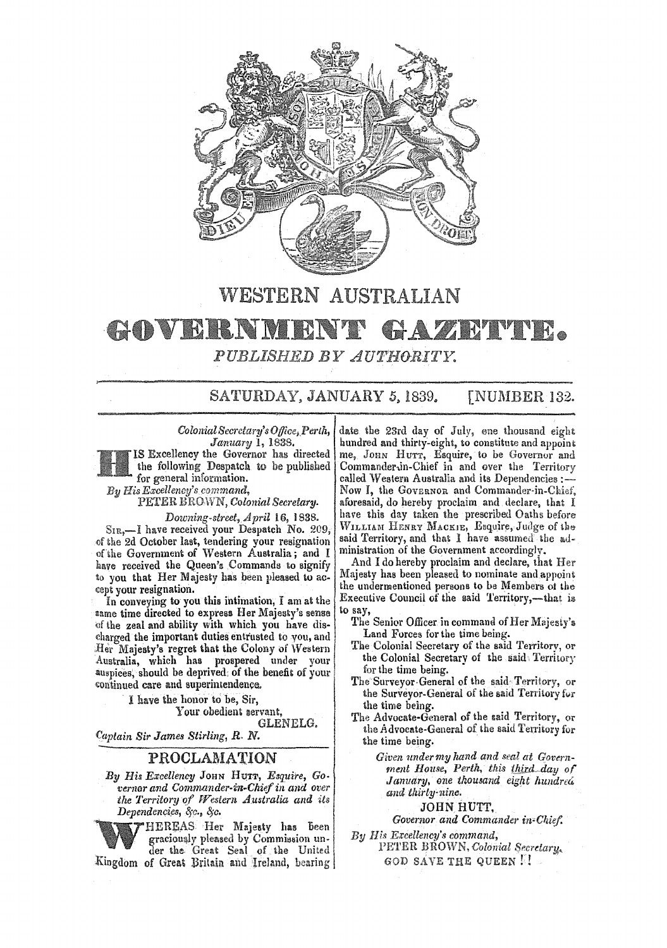

## WESTERN AUSTRALIAN

## **COVERNMENT ZARATIVE LE** PUBLISHED BY AUTHORITY.

SATURDAY, JANUARY 5, 1839. **[NUMBER 132.** 

Colonial Secretary's Office, Perth, January 1, 1838.

IS Excellency the Governor has directed the following Despatch to be published for general information.

By His Excellency's command.

PETER BROWN, Colonial Secretary.

Downing-street, April 16, 1838.

SIR,-I have received your Despatch No. 209, of the 2d October last, tendering your resignation of the Government of Western Australia; and I have received the Queen's Commands to signify to you that Her Majesty has been pleased to accept your resignation.

In conveying to you this intimation, I am at the same time directed to express Her Majesty's sense of the zeal and ability with which you have discharged the important duties entrusted to you, and Her Majesty's regret that the Colony of Western Australia, which has prospered under your auspices, should be deprived; of the benefit of your continued care and superintendence.

> I have the honor to be, Sir, Your obedient servant, GLENELG.

Captain Sir James Stirling, R. N.

## PROCLAMATION

By His Excellency JOHN HUTT, Esquire, Go. vernor and Commander-in-Chief in and over the Territory of Western Australia and its Dependencies, &c., &c.

"HEREAS Her Majesty has been graciously pleased by Commission under the Great Seal of the United

Kingdom of Great Britain and Ireland, bearing

date the 23rd day of July, ene thousand eight hundred and thirty-eight, to constitute and appoint me, John Hurr, Esquire, to be Governor and Commander in-Chief in and over the Territory called Western Australia and its Dependencies :-Now I, the GOVERNOR and Commander-in-Chief, aforesaid, do hereby proclaim and declare, that I have this day taken the prescribed Oaths before WILLIAM HENRY MACKIE, Esquire, Judge of the said Territory, and that I have assumed the administration of the Government accordingly.

And I do hereby proclaim and declare, that Her<br>Majesty has been pleased to nominate and appoint the undermentioned persons to be Members of the Executive Council of the said Territory,—that is to say,

- The Senior Officer in command of Her Majesty's Land Forces for the time being.
- The Colonial Secretary of the said Territory, or the Colonial Secretary of the said Territory for the time being.
- The Surveyor General of the said Territory, or the Surveyor-General of the said Territory for the time being.
- The Advocate-General of the said Territory, or the Advocate-General of the said Territory for the time being.

Given under my hand and seal at Government House, Perth, this third day of January, one thousand eight hundred and thirty nine.

JOHN HUTT,

Governor and Commander in-Chief.

By His Excellency's command, PETER BROWN, Colonial Secretary. GOD SAVE THE QUEEN N.